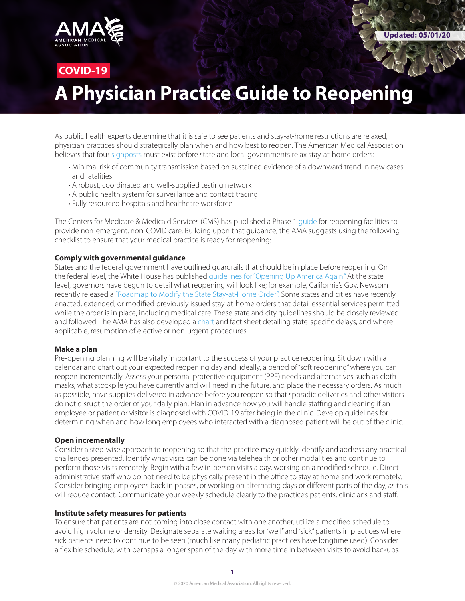

# **COVID-19**

# **A Physician Practice Guide to Reopening**

As public health experts determine that it is safe to see patients and stay-at-home restrictions are relaxed, physician practices should strategically plan when and how best to reopen. The American Medical Association believes that four [signposts](https://www.ama-assn.org/delivering-care/public-health/ama-states-should-follow-4-signposts-safely-reopen-america?utm_source=linkedin_company&utm_medium=social_ama&utm_term=3290698435&utm_campaign=Public+Health) must exist before state and local governments relax stay-at-home orders:

- Minimal risk of community transmission based on sustained evidence of a downward trend in new cases and fatalities
- A robust, coordinated and well-supplied testing network
- A public health system for surveillance and contact tracing
- Fully resourced hospitals and healthcare workforce

The Centers for Medicare & Medicaid Services (CMS) has published a Phase 1 quide for reopening facilities to provide non-emergent, non-COVID care. Building upon that guidance, the AMA suggests using the following checklist to ensure that your medical practice is ready for reopening:

#### **Comply with governmental guidance**

States and the federal government have outlined guardrails that should be in place before reopening. On the federal level, the White House has published [guidelines for "Opening Up America Agai](https://www.whitehouse.gov/openingamerica/)n." At the state level, governors have begun to detail what reopening will look like; for example, California's Gov. Newsom recently released a ["Roadmap to Modify the State Stay-at-Home Order](https://www.gov.ca.gov/wp-content/uploads/2020/04/California-Roadmap-to-Modify-the-Stay-at-Home-Order.pdf)". Some states and cities have recently enacted, extended, or modified previously issued stay-at-home orders that detail essential services permitted while the order is in place, including medical care. These state and city guidelines should be closely reviewed and followed. The AMA has also developed a [chart](https://www.ama-assn.org/system/files/2020-04/state-elective-procedure-chart.pdf) and fact sheet detailing state-specific delays, and where applicable, resumption of elective or non-urgent procedures.

#### **Make a plan**

Pre-opening planning will be vitally important to the success of your practice reopening. Sit down with a calendar and chart out your expected reopening day and, ideally, a period of "soft reopening" where you can reopen incrementally. Assess your personal protective equipment (PPE) needs and alternatives such as cloth masks, what stockpile you have currently and will need in the future, and place the necessary orders. As much as possible, have supplies delivered in advance before you reopen so that sporadic deliveries and other visitors do not disrupt the order of your daily plan. Plan in advance how you will handle staffing and cleaning if an employee or patient or visitor is diagnosed with COVID-19 after being in the clinic. Develop guidelines for determining when and how long employees who interacted with a diagnosed patient will be out of the clinic.

#### **Open incrementally**

Consider a step-wise approach to reopening so that the practice may quickly identify and address any practical challenges presented. Identify what visits can be done via telehealth or other modalities and continue to perform those visits remotely. Begin with a few in-person visits a day, working on a modified schedule. Direct administrative staff who do not need to be physically present in the office to stay at home and work remotely. Consider bringing employees back in phases, or working on alternating days or different parts of the day, as this will reduce contact. Communicate your weekly schedule clearly to the practice's patients, clinicians and staff.

#### **Institute safety measures for patients**

To ensure that patients are not coming into close contact with one another, utilize a modified schedule to avoid high volume or density. Designate separate waiting areas for "well" and "sick" patients in practices where sick patients need to continue to be seen (much like many pediatric practices have longtime used). Consider a flexible schedule, with perhaps a longer span of the day with more time in between visits to avoid backups.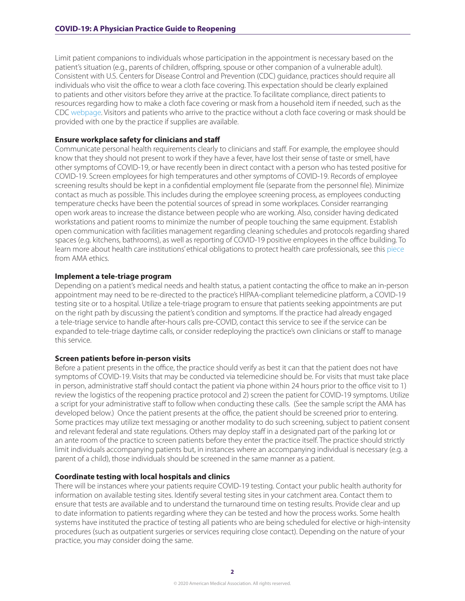Limit patient companions to individuals whose participation in the appointment is necessary based on the patient's situation (e.g., parents of children, offspring, spouse or other companion of a vulnerable adult). Consistent with U.S. Centers for Disease Control and Prevention (CDC) guidance, practices should require all individuals who visit the office to wear a cloth face covering. This expectation should be clearly explained to patients and other visitors before they arrive at the practice. To facilitate compliance, direct patients to resources regarding how to make a cloth face covering or mask from a household item if needed, such as the CDC [webpage](https://www.cdc.gov/coronavirus/2019-ncov/prevent-getting-sick/diy-cloth-face-coverings.html). Visitors and patients who arrive to the practice without a cloth face covering or mask should be provided with one by the practice if supplies are available.

#### **Ensure workplace safety for clinicians and staff**

Communicate personal health requirements clearly to clinicians and staff. For example, the employee should know that they should not present to work if they have a fever, have lost their sense of taste or smell, have other symptoms of COVID-19, or have recently been in direct contact with a person who has tested positive for COVID-19. Screen employees for high temperatures and other symptoms of COVID-19. Records of employee screening results should be kept in a confidential employment file (separate from the personnel file). Minimize contact as much as possible. This includes during the employee screening process, as employees conducting temperature checks have been the potential sources of spread in some workplaces. Consider rearranging open work areas to increase the distance between people who are working. Also, consider having dedicated workstations and patient rooms to minimize the number of people touching the same equipment. Establish open communication with facilities management regarding cleaning schedules and protocols regarding shared spaces (e.g. kitchens, bathrooms), as well as reporting of COVID-19 positive employees in the office building. To learn more about health care institutions' ethical obligations to protect health care professionals, see this [piece](https://www.ama-assn.org/delivering-care/ethics/obligations-protect-health-care-professionals) from AMA ethics.

#### **Implement a tele-triage program**

Depending on a patient's medical needs and health status, a patient contacting the office to make an in-person appointment may need to be re-directed to the practice's HIPAA-compliant telemedicine platform, a COVID-19 testing site or to a hospital. Utilize a tele-triage program to ensure that patients seeking appointments are put on the right path by discussing the patient's condition and symptoms. If the practice had already engaged a tele-triage service to handle after-hours calls pre-COVID, contact this service to see if the service can be expanded to tele-triage daytime calls, or consider redeploying the practice's own clinicians or staff to manage this service.

#### **Screen patients before in-person visits**

Before a patient presents in the office, the practice should verify as best it can that the patient does not have symptoms of COVID-19. Visits that may be conducted via telemedicine should be. For visits that must take place in person, administrative staff should contact the patient via phone within 24 hours prior to the office visit to 1) review the logistics of the reopening practice protocol and 2) screen the patient for COVID-19 symptoms. Utilize a script for your administrative staff to follow when conducting these calls. (See the sample script the AMA has developed below.) Once the patient presents at the office, the patient should be screened prior to entering. Some practices may utilize text messaging or another modality to do such screening, subject to patient consent and relevant federal and state regulations. Others may deploy staff in a designated part of the parking lot or an ante room of the practice to screen patients before they enter the practice itself. The practice should strictly limit individuals accompanying patients but, in instances where an accompanying individual is necessary (e.g. a parent of a child), those individuals should be screened in the same manner as a patient.

#### **Coordinate testing with local hospitals and clinics**

There will be instances where your patients require COVID-19 testing. Contact your public health authority for information on available testing sites. Identify several testing sites in your catchment area. Contact them to ensure that tests are available and to understand the turnaround time on testing results. Provide clear and up to date information to patients regarding where they can be tested and how the process works. Some health systems have instituted the practice of testing all patients who are being scheduled for elective or high-intensity procedures (such as outpatient surgeries or services requiring close contact). Depending on the nature of your practice, you may consider doing the same.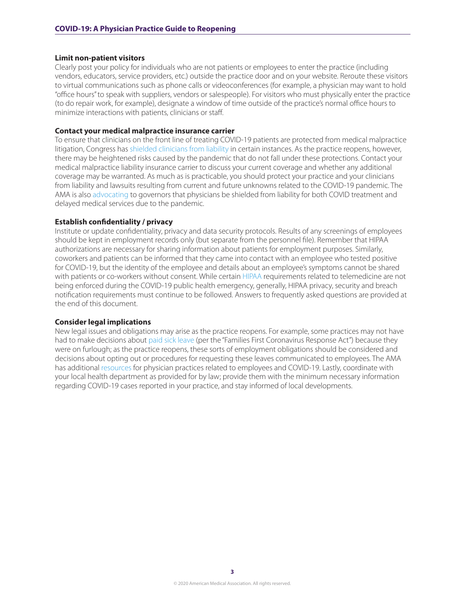#### **Limit non-patient visitors**

Clearly post your policy for individuals who are not patients or employees to enter the practice (including vendors, educators, service providers, etc.) outside the practice door and on your website. Reroute these visitors to virtual communications such as phone calls or videoconferences (for example, a physician may want to hold "office hours" to speak with suppliers, vendors or salespeople). For visitors who must physically enter the practice (to do repair work, for example), designate a window of time outside of the practice's normal office hours to minimize interactions with patients, clinicians or staff.

#### **Contact your medical malpractice insurance carrier**

To ensure that clinicians on the front line of treating COVID-19 patients are protected from medical malpractice litigation, Congress has [shielded clinicians from liability](https://www.ama-assn.org/practice-management/sustainability/liability-protections-health-care-professionals-during-covid-19) in certain instances. As the practice reopens, however, there may be heightened risks caused by the pandemic that do not fall under these protections. Contact your medical malpractice liability insurance carrier to discuss your current coverage and whether any additional coverage may be warranted. As much as is practicable, you should protect your practice and your clinicians from liability and lawsuits resulting from current and future unknowns related to the COVID-19 pandemic. The AMA is also [advocating](https://www.ama-assn.org/practice-management/sustainability/ama-governors-physicians-need-covid-19-liability-protections) to governors that physicians be shielded from liability for both COVID treatment and delayed medical services due to the pandemic.

#### **Establish confidentiality / privacy**

Institute or update confidentiality, privacy and data security protocols. Results of any screenings of employees should be kept in employment records only (but separate from the personnel file). Remember that HIPAA authorizations are necessary for sharing information about patients for employment purposes. Similarly, coworkers and patients can be informed that they came into contact with an employee who tested positive for COVID-19, but the identity of the employee and details about an employee's symptoms cannot be shared with patients or co-workers without consent. While certain [HIPAA](https://www.ama-assn.org/practice-management/hipaa) requirements related to telemedicine are not being enforced during the COVID-19 public health emergency, generally, HIPAA privacy, security and breach notification requirements must continue to be followed. Answers to frequently asked questions are provided at the end of this document.

#### **Consider legal implications**

New legal issues and obligations may arise as the practice reopens. For example, some practices may not have had to make decisions about [paid sick leave](https://www.dol.gov/agencies/whd/pandemic/ffcra-questions) (per the "Families First Coronavirus Response Act") because they were on furlough; as the practice reopens, these sorts of employment obligations should be considered and decisions about opting out or procedures for requesting these leaves communicated to employees. The AMA has additional [resources](https://www.ama-assn.org/delivering-care/public-health/making-tough-decisions-managing-practice-s-employee-costs) for physician practices related to employees and COVID-19. Lastly, coordinate with your local health department as provided for by law; provide them with the minimum necessary information regarding COVID-19 cases reported in your practice, and stay informed of local developments.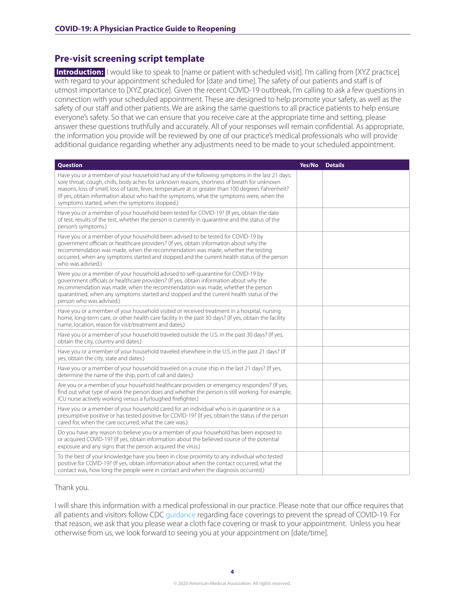### **Pre-visit screening script template**

**Introduction:** I would like to speak to [name or patient with scheduled visit]. I'm calling from [XYZ practice] with regard to your appointment scheduled for [date and time]. The safety of our patients and staff is of utmost importance to [XYZ practice]. Given the recent COVID-19 outbreak, I'm calling to ask a few questions in connection with your scheduled appointment. These are designed to help promote your safety, as well as the safety of our staff and other patients. We are asking the same questions to all practice patients to help ensure everyone's safety. So that we can ensure that you receive care at the appropriate time and setting, please answer these questions truthfully and accurately. All of your responses will remain confidential. As appropriate, the information you provide will be reviewed by one of our practice's medical professionals who will provide additional guidance regarding whether any adjustments need to be made to your scheduled appointment.

| <b>Question</b>                                                                                                                                                                                                                                                                                                                                                                                                                                   | Yes/No | <b>Details</b> |
|---------------------------------------------------------------------------------------------------------------------------------------------------------------------------------------------------------------------------------------------------------------------------------------------------------------------------------------------------------------------------------------------------------------------------------------------------|--------|----------------|
| Have you or a member of your household had any of the following symptoms in the last 21 days:<br>sore throat, cough, chills, body aches for unknown reasons, shortness of breath for unknown<br>reasons, loss of smell, loss of taste, fever, temperature at or greater than 100 degrees Fahrenheit?<br>(If yes, obtain information about who had the symptoms, what the symptoms were, when the<br>symptoms started, when the symptoms stopped.) |        |                |
| Have you or a member of your household been tested for COVID-19? (If yes, obtain the date<br>of test, results of the test, whether the person is currently in quarantine and the status of the<br>person's symptoms.)                                                                                                                                                                                                                             |        |                |
| Have you or a member of your household been advised to be tested for COVID-19 by<br>government officials or healthcare providers? (If yes, obtain information about why the<br>recommendation was made, when the recommendation was made, whether the testing<br>occurred, when any symptoms started and stopped and the current health status of the person<br>who was advised.)                                                                 |        |                |
| Were you or a member of your household advised to self-quarantine for COVID-19 by<br>government officials or healthcare providers? (If yes, obtain information about why the<br>recommendation was made, when the recommendation was made, whether the person<br>quarantined, when any symptoms started and stopped and the current health status of the<br>person who was advised.)                                                              |        |                |
| Have you or a member of your household visited or received treatment in a hospital, nursing<br>home, long-term care, or other health care facility in the past 30 days? (If yes, obtain the facility<br>name, location, reason for visit/treatment and dates.)                                                                                                                                                                                    |        |                |
| Have you or a member of your household traveled outside the U.S. in the past 30 days? (If yes,<br>obtain the city, country and dates.)                                                                                                                                                                                                                                                                                                            |        |                |
| Have you or a member of your household traveled elsewhere in the U.S. in the past 21 days? (If<br>yes, obtain the city, state and dates.)                                                                                                                                                                                                                                                                                                         |        |                |
| Have you or a member of your household traveled on a cruise ship in the last 21 days? (If yes,<br>determine the name of the ship, ports of call and dates.)                                                                                                                                                                                                                                                                                       |        |                |
| Are you or a member of your household healthcare providers or emergency responders? (If yes,<br>find out what type of work the person does and whether the person is still working. For example,<br>ICU nurse actively working versus a furloughed firefighter.)                                                                                                                                                                                  |        |                |
| Have you or a member of your household cared for an individual who is in quarantine or is a<br>presumptive positive or has tested positive for COVID-19? (If yes, obtain the status of the person<br>cared for, when the care occurred, what the care was.)                                                                                                                                                                                       |        |                |
| Do you have any reason to believe you or a member of your household has been exposed to<br>or acquired COVID-19? (If yes, obtain information about the believed source of the potential<br>exposure and any signs that the person acquired the virus.)                                                                                                                                                                                            |        |                |
| To the best of your knowledge have you been in close proximity to any individual who tested<br>positive for COVID-19? (If yes, obtain information about when the contact occurred, what the<br>contact was, how long the people were in contact and when the diagnosis occurred.)                                                                                                                                                                 |        |                |

#### Thank you.

I will share this information with a medical professional in our practice. Please note that our office requires that all patients and visitors follow CDC [guidance](https://www.cdc.gov/coronavirus/2019-ncov/prevent-getting-sick/diy-cloth-face-coverings.html) regarding face coverings to prevent the spread of COVID-19. For that reason, we ask that you please wear a cloth face covering or mask to your appointment. Unless you hear otherwise from us, we look forward to seeing you at your appointment on [date/time].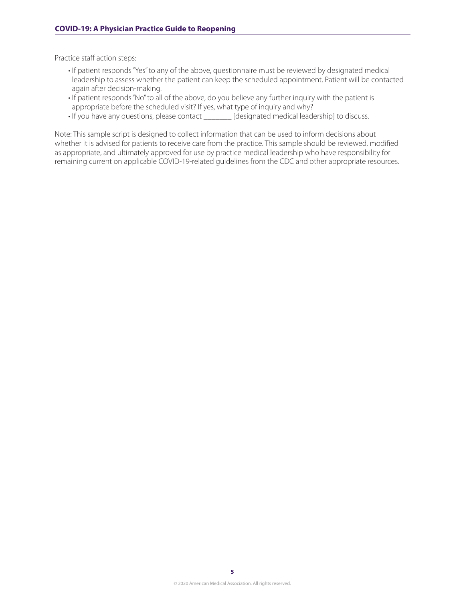Practice staff action steps:

- If patient responds "Yes" to any of the above, questionnaire must be reviewed by designated medical leadership to assess whether the patient can keep the scheduled appointment. Patient will be contacted again after decision-making.
- If patient responds "No" to all of the above, do you believe any further inquiry with the patient is appropriate before the scheduled visit? If yes, what type of inquiry and why?
- If you have any questions, please contact \_\_\_\_\_\_\_ [designated medical leadership] to discuss.

Note: This sample script is designed to collect information that can be used to inform decisions about whether it is advised for patients to receive care from the practice. This sample should be reviewed, modified as appropriate, and ultimately approved for use by practice medical leadership who have responsibility for remaining current on applicable COVID-19-related guidelines from the CDC and other appropriate resources.